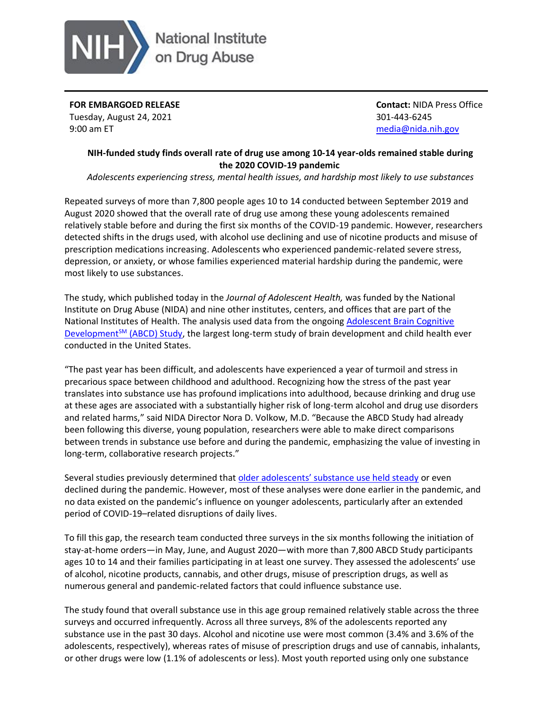

**FOR EMBARGOED RELEASE** Tuesday, August 24, 2021 9:00 am ET

**Contact:** NIDA Press Office 301-443-6245 [media@nida.nih.gov](mailto:media@nida.nih.gov)

## **NIH-funded study finds overall rate of drug use among 10-14 year-olds remained stable during the 2020 COVID-19 pandemic**

*Adolescents experiencing stress, mental health issues, and hardship most likely to use substances*

Repeated surveys of more than 7,800 people ages 10 to 14 conducted between September 2019 and August 2020 showed that the overall rate of drug use among these young adolescents remained relatively stable before and during the first six months of the COVID-19 pandemic. However, researchers detected shifts in the drugs used, with alcohol use declining and use of nicotine products and misuse of prescription medications increasing. Adolescents who experienced pandemic-related severe stress, depression, or anxiety, or whose families experienced material hardship during the pandemic, were most likely to use substances.

The study, which published today in the *Journal of Adolescent Health,* was funded by the National Institute on Drug Abuse (NIDA) and nine other institutes, centers, and offices that are part of the National Institutes of Health. The analysis used data from the ongoing [Adolescent Brain Cognitive](https://abcdstudy.org/)  Development<sup>5M</sup> [\(ABCD\) Study,](https://abcdstudy.org/) the largest long-term study of brain development and child health ever conducted in the United States.

"The past year has been difficult, and adolescents have experienced a year of turmoil and stress in precarious space between childhood and adulthood. Recognizing how the stress of the past year translates into substance use has profound implications into adulthood, because drinking and drug use at these ages are associated with a substantially higher risk of long-term alcohol and drug use disorders and related harms," said NIDA Director Nora D. Volkow, M.D. "Because the ABCD Study had already been following this diverse, young population, researchers were able to make direct comparisons between trends in substance use before and during the pandemic, emphasizing the value of investing in long-term, collaborative research projects."

Several studies previously determined that [older adolescents' substance use held steady](https://www.drugabuse.gov/news-events/news-releases/2021/06/adolescent-marijuana-alcohol-use-held-steady-during-covid-19-pandemic) or even declined during the pandemic. However, most of these analyses were done earlier in the pandemic, and no data existed on the pandemic's influence on younger adolescents, particularly after an extended period of COVID-19–related disruptions of daily lives.

To fill this gap, the research team conducted three surveys in the six months following the initiation of stay-at-home orders—in May, June, and August 2020—with more than 7,800 ABCD Study participants ages 10 to 14 and their families participating in at least one survey. They assessed the adolescents' use of alcohol, nicotine products, cannabis, and other drugs, misuse of prescription drugs, as well as numerous general and pandemic-related factors that could influence substance use.

The study found that overall substance use in this age group remained relatively stable across the three surveys and occurred infrequently. Across all three surveys, 8% of the adolescents reported any substance use in the past 30 days. Alcohol and nicotine use were most common (3.4% and 3.6% of the adolescents, respectively), whereas rates of misuse of prescription drugs and use of cannabis, inhalants, or other drugs were low (1.1% of adolescents or less). Most youth reported using only one substance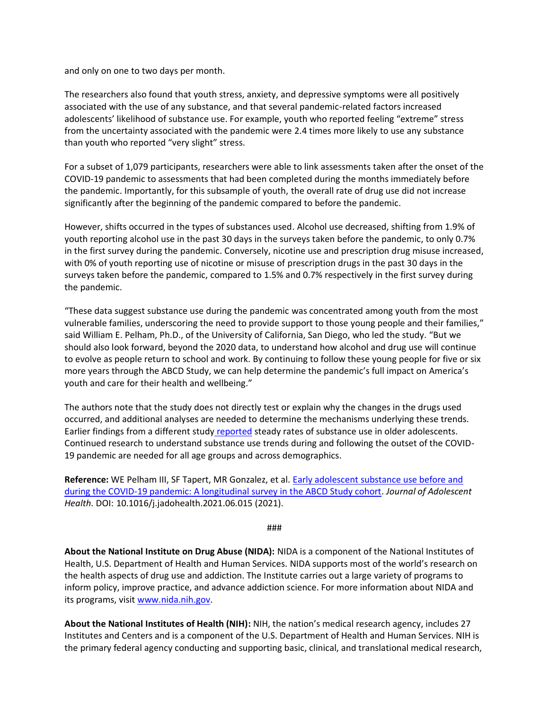and only on one to two days per month.

The researchers also found that youth stress, anxiety, and depressive symptoms were all positively associated with the use of any substance, and that several pandemic-related factors increased adolescents' likelihood of substance use. For example, youth who reported feeling "extreme" stress from the uncertainty associated with the pandemic were 2.4 times more likely to use any substance than youth who reported "very slight" stress.

For a subset of 1,079 participants, researchers were able to link assessments taken after the onset of the COVID-19 pandemic to assessments that had been completed during the months immediately before the pandemic. Importantly, for this subsample of youth, the overall rate of drug use did not increase significantly after the beginning of the pandemic compared to before the pandemic.

However, shifts occurred in the types of substances used. Alcohol use decreased, shifting from 1.9% of youth reporting alcohol use in the past 30 days in the surveys taken before the pandemic, to only 0.7% in the first survey during the pandemic. Conversely, nicotine use and prescription drug misuse increased, with 0% of youth reporting use of nicotine or misuse of prescription drugs in the past 30 days in the surveys taken before the pandemic, compared to 1.5% and 0.7% respectively in the first survey during the pandemic.

"These data suggest substance use during the pandemic was concentrated among youth from the most vulnerable families, underscoring the need to provide support to those young people and their families," said William E. Pelham, Ph.D., of the University of California, San Diego, who led the study. "But we should also look forward, beyond the 2020 data, to understand how alcohol and drug use will continue to evolve as people return to school and work. By continuing to follow these young people for five or six more years through the ABCD Study, we can help determine the pandemic's full impact on America's youth and care for their health and wellbeing."

The authors note that the study does not directly test or explain why the changes in the drugs used occurred, and additional analyses are needed to determine the mechanisms underlying these trends. Earlier findings from a different study [reported](https://www.drugabuse.gov/news-events/news-releases/2021/06/adolescent-marijuana-alcohol-use-held-steady-during-covid-19-pandemic) steady rates of substance use in older adolescents. Continued research to understand substance use trends during and following the outset of the COVID-19 pandemic are needed for all age groups and across demographics.

**Reference:** WE Pelham III, SF Tapert, MR Gonzalez, et al. [Early adolescent substance use before and](https://doi.org/10.1016/j.jadohealth.2021.06.015)  [during the COVID-19 pandemic: A longitudinal survey in the ABCD Study cohort.](https://doi.org/10.1016/j.jadohealth.2021.06.015) *Journal of Adolescent Health.* DOI: 10.1016/j.jadohealth.2021.06.015 (2021).

## ###

**About the National Institute on Drug Abuse (NIDA):** NIDA is a component of the National Institutes of Health, U.S. Department of Health and Human Services. NIDA supports most of the world's research on the health aspects of drug use and addiction. The Institute carries out a large variety of programs to inform policy, improve practice, and advance addiction science. For more information about NIDA and its programs, visit [www.nida.nih.gov.](http://www.nida.nih.gov/)

**About the National Institutes of Health (NIH):** NIH, the nation's medical research agency, includes 27 Institutes and Centers and is a component of the U.S. Department of Health and Human Services. NIH is the primary federal agency conducting and supporting basic, clinical, and translational medical research,